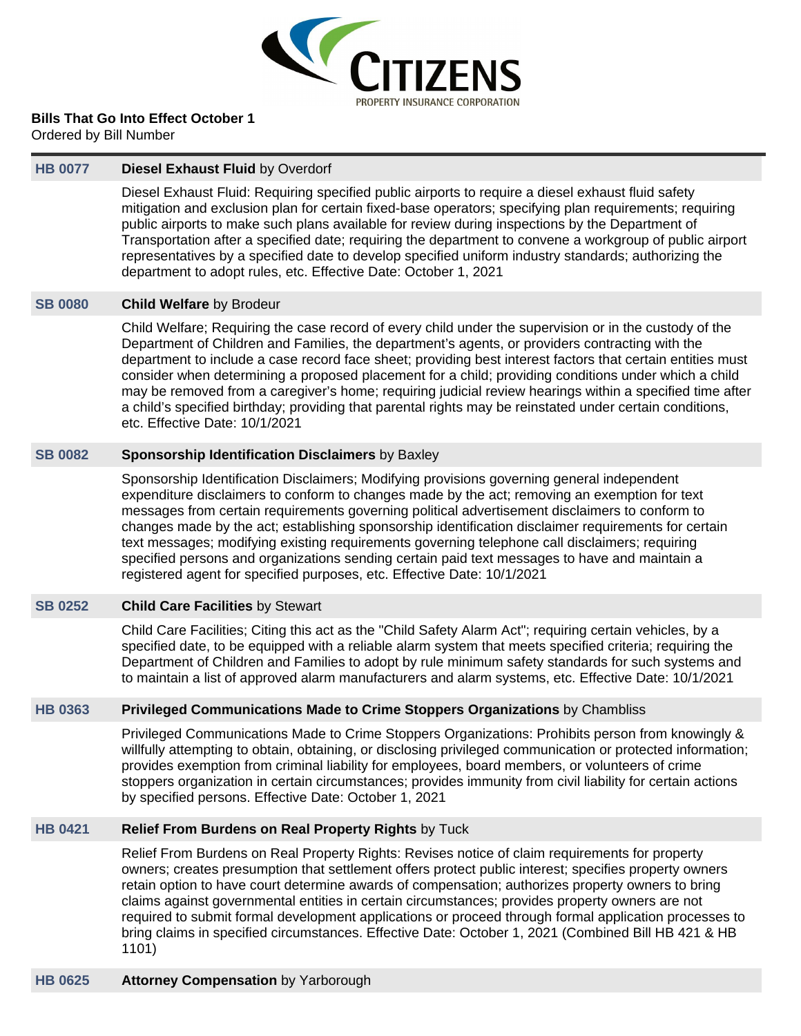

**Bills That Go Into Effect October 1**

Ordered by Bill Number

## **[HB 0077](https://public.lobbytools.com/bills/56378) Diesel Exhaust Fluid** by Overdorf

Diesel Exhaust Fluid: Requiring specified public airports to require a diesel exhaust fluid safety mitigation and exclusion plan for certain fixed-base operators; specifying plan requirements; requiring public airports to make such plans available for review during inspections by the Department of Transportation after a specified date; requiring the department to convene a workgroup of public airport representatives by a specified date to develop specified uniform industry standards; authorizing the department to adopt rules, etc. Effective Date: October 1, 2021

## **[SB 0080](https://public.lobbytools.com/bills/56636) Child Welfare** by Brodeur

Child Welfare; Requiring the case record of every child under the supervision or in the custody of the Department of Children and Families, the department's agents, or providers contracting with the department to include a case record face sheet; providing best interest factors that certain entities must consider when determining a proposed placement for a child; providing conditions under which a child may be removed from a caregiver's home; requiring judicial review hearings within a specified time after a child's specified birthday; providing that parental rights may be reinstated under certain conditions, etc. Effective Date: 10/1/2021

## **[SB 0082](https://public.lobbytools.com/bills/56634) Sponsorship Identification Disclaimers** by Baxley

Sponsorship Identification Disclaimers; Modifying provisions governing general independent expenditure disclaimers to conform to changes made by the act; removing an exemption for text messages from certain requirements governing political advertisement disclaimers to conform to changes made by the act; establishing sponsorship identification disclaimer requirements for certain text messages; modifying existing requirements governing telephone call disclaimers; requiring specified persons and organizations sending certain paid text messages to have and maintain a registered agent for specified purposes, etc. Effective Date: 10/1/2021

# **[SB 0252](https://public.lobbytools.com/bills/56359) Child Care Facilities** by Stewart

Child Care Facilities; Citing this act as the "Child Safety Alarm Act"; requiring certain vehicles, by a specified date, to be equipped with a reliable alarm system that meets specified criteria; requiring the Department of Children and Families to adopt by rule minimum safety standards for such systems and to maintain a list of approved alarm manufacturers and alarm systems, etc. Effective Date: 10/1/2021

# **[HB 0363](https://public.lobbytools.com/bills/56811) Privileged Communications Made to Crime Stoppers Organizations** by Chambliss

Privileged Communications Made to Crime Stoppers Organizations: Prohibits person from knowingly & willfully attempting to obtain, obtaining, or disclosing privileged communication or protected information; provides exemption from criminal liability for employees, board members, or volunteers of crime stoppers organization in certain circumstances; provides immunity from civil liability for certain actions by specified persons. Effective Date: October 1, 2021

# **[HB 0421](https://public.lobbytools.com/bills/56963) Relief From Burdens on Real Property Rights** by Tuck

Relief From Burdens on Real Property Rights: Revises notice of claim requirements for property owners; creates presumption that settlement offers protect public interest; specifies property owners retain option to have court determine awards of compensation; authorizes property owners to bring claims against governmental entities in certain circumstances; provides property owners are not required to submit formal development applications or proceed through formal application processes to bring claims in specified circumstances. Effective Date: October 1, 2021 (Combined Bill HB 421 & HB 1101)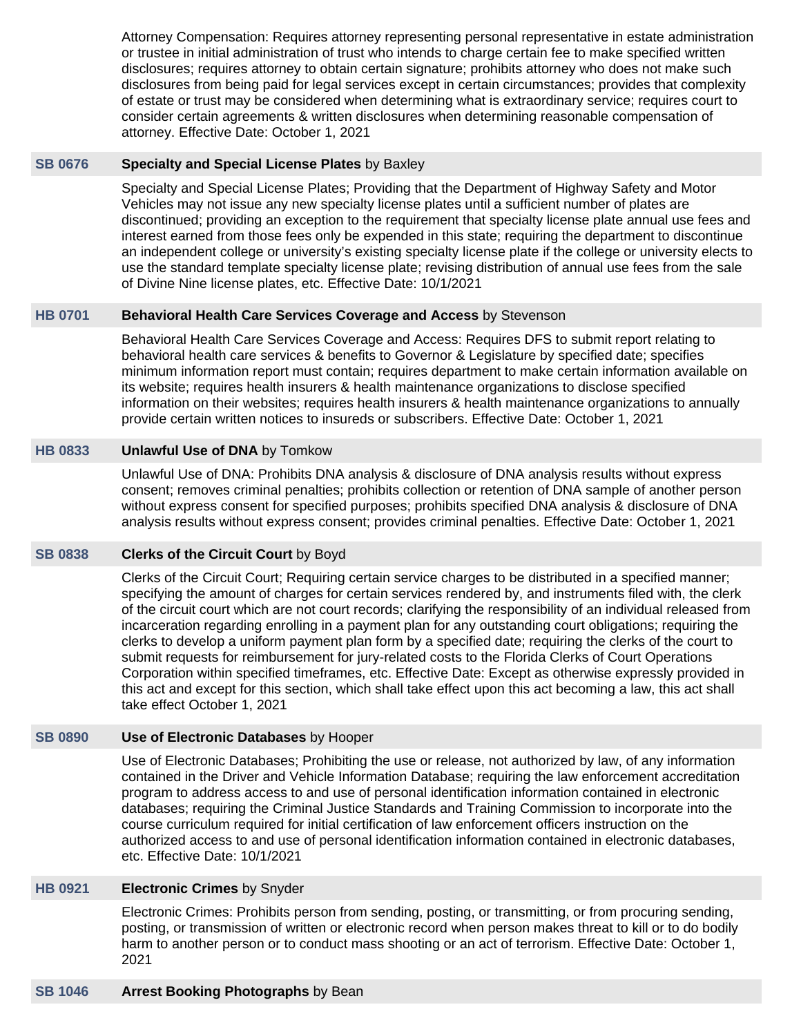Attorney Compensation: Requires attorney representing personal representative in estate administration or trustee in initial administration of trust who intends to charge certain fee to make specified written disclosures; requires attorney to obtain certain signature; prohibits attorney who does not make such disclosures from being paid for legal services except in certain circumstances; provides that complexity of estate or trust may be considered when determining what is extraordinary service; requires court to consider certain agreements & written disclosures when determining reasonable compensation of attorney. Effective Date: October 1, 2021

#### **[SB 0676](https://public.lobbytools.com/bills/56721) Specialty and Special License Plates** by Baxley

Specialty and Special License Plates; Providing that the Department of Highway Safety and Motor Vehicles may not issue any new specialty license plates until a sufficient number of plates are discontinued; providing an exception to the requirement that specialty license plate annual use fees and interest earned from those fees only be expended in this state; requiring the department to discontinue an independent college or university's existing specialty license plate if the college or university elects to use the standard template specialty license plate; revising distribution of annual use fees from the sale of Divine Nine license plates, etc. Effective Date: 10/1/2021

## **[HB 0701](https://public.lobbytools.com/bills/57531) Behavioral Health Care Services Coverage and Access** by Stevenson

Behavioral Health Care Services Coverage and Access: Requires DFS to submit report relating to behavioral health care services & benefits to Governor & Legislature by specified date; specifies minimum information report must contain; requires department to make certain information available on its website; requires health insurers & health maintenance organizations to disclose specified information on their websites; requires health insurers & health maintenance organizations to annually provide certain written notices to insureds or subscribers. Effective Date: October 1, 2021

# **[HB 0833](https://public.lobbytools.com/bills/57929) Unlawful Use of DNA** by Tomkow

Unlawful Use of DNA: Prohibits DNA analysis & disclosure of DNA analysis results without express consent; removes criminal penalties; prohibits collection or retention of DNA sample of another person without express consent for specified purposes; prohibits specified DNA analysis & disclosure of DNA analysis results without express consent; provides criminal penalties. Effective Date: October 1, 2021

# **[SB 0838](https://public.lobbytools.com/bills/57024) Clerks of the Circuit Court** by Boyd

Clerks of the Circuit Court; Requiring certain service charges to be distributed in a specified manner; specifying the amount of charges for certain services rendered by, and instruments filed with, the clerk of the circuit court which are not court records; clarifying the responsibility of an individual released from incarceration regarding enrolling in a payment plan for any outstanding court obligations; requiring the clerks to develop a uniform payment plan form by a specified date; requiring the clerks of the court to submit requests for reimbursement for jury-related costs to the Florida Clerks of Court Operations Corporation within specified timeframes, etc. Effective Date: Except as otherwise expressly provided in this act and except for this section, which shall take effect upon this act becoming a law, this act shall take effect October 1, 2021

#### **[SB 0890](https://public.lobbytools.com/bills/57119) Use of Electronic Databases** by Hooper

Use of Electronic Databases; Prohibiting the use or release, not authorized by law, of any information contained in the Driver and Vehicle Information Database; requiring the law enforcement accreditation program to address access to and use of personal identification information contained in electronic databases; requiring the Criminal Justice Standards and Training Commission to incorporate into the course curriculum required for initial certification of law enforcement officers instruction on the authorized access to and use of personal identification information contained in electronic databases, etc. Effective Date: 10/1/2021

#### **[HB 0921](https://public.lobbytools.com/bills/58276) Electronic Crimes** by Snyder

Electronic Crimes: Prohibits person from sending, posting, or transmitting, or from procuring sending, posting, or transmission of written or electronic record when person makes threat to kill or to do bodily harm to another person or to conduct mass shooting or an act of terrorism. Effective Date: October 1, 2021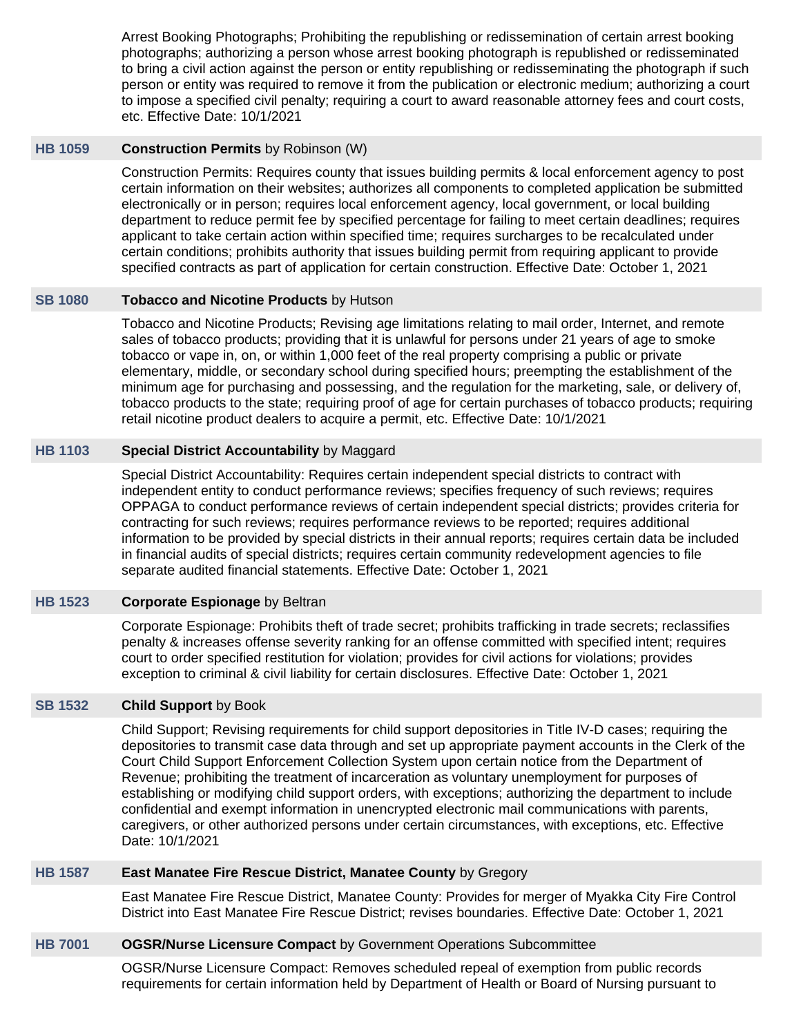Arrest Booking Photographs; Prohibiting the republishing or redissemination of certain arrest booking photographs; authorizing a person whose arrest booking photograph is republished or redisseminated to bring a civil action against the person or entity republishing or redisseminating the photograph if such person or entity was required to remove it from the publication or electronic medium; authorizing a court to impose a specified civil penalty; requiring a court to award reasonable attorney fees and court costs, etc. Effective Date: 10/1/2021

## **[HB 1059](https://public.lobbytools.com/bills/58500) Construction Permits** by Robinson (W)

Construction Permits: Requires county that issues building permits & local enforcement agency to post certain information on their websites; authorizes all components to completed application be submitted electronically or in person; requires local enforcement agency, local government, or local building department to reduce permit fee by specified percentage for failing to meet certain deadlines; requires applicant to take certain action within specified time; requires surcharges to be recalculated under certain conditions; prohibits authority that issues building permit from requiring applicant to provide specified contracts as part of application for certain construction. Effective Date: October 1, 2021

## **[SB 1080](https://public.lobbytools.com/bills/57787) Tobacco and Nicotine Products** by Hutson

Tobacco and Nicotine Products; Revising age limitations relating to mail order, Internet, and remote sales of tobacco products; providing that it is unlawful for persons under 21 years of age to smoke tobacco or vape in, on, or within 1,000 feet of the real property comprising a public or private elementary, middle, or secondary school during specified hours; preempting the establishment of the minimum age for purchasing and possessing, and the regulation for the marketing, sale, or delivery of, tobacco products to the state; requiring proof of age for certain purchases of tobacco products; requiring retail nicotine product dealers to acquire a permit, etc. Effective Date: 10/1/2021

## **[HB 1103](https://public.lobbytools.com/bills/58551) Special District Accountability** by Maggard

Special District Accountability: Requires certain independent special districts to contract with independent entity to conduct performance reviews; specifies frequency of such reviews; requires OPPAGA to conduct performance reviews of certain independent special districts; provides criteria for contracting for such reviews; requires performance reviews to be reported; requires additional information to be provided by special districts in their annual reports; requires certain data be included in financial audits of special districts; requires certain community redevelopment agencies to file separate audited financial statements. Effective Date: October 1, 2021

# **[HB 1523](https://public.lobbytools.com/bills/59115) Corporate Espionage** by Beltran

Corporate Espionage: Prohibits theft of trade secret; prohibits trafficking in trade secrets; reclassifies penalty & increases offense severity ranking for an offense committed with specified intent; requires court to order specified restitution for violation; provides for civil actions for violations; provides exception to criminal & civil liability for certain disclosures. Effective Date: October 1, 2021

# **[SB 1532](https://public.lobbytools.com/bills/58690) Child Support** by Book

Child Support; Revising requirements for child support depositories in Title IV-D cases; requiring the depositories to transmit case data through and set up appropriate payment accounts in the Clerk of the Court Child Support Enforcement Collection System upon certain notice from the Department of Revenue; prohibiting the treatment of incarceration as voluntary unemployment for purposes of establishing or modifying child support orders, with exceptions; authorizing the department to include confidential and exempt information in unencrypted electronic mail communications with parents, caregivers, or other authorized persons under certain circumstances, with exceptions, etc. Effective Date: 10/1/2021

#### **[HB 1587](https://public.lobbytools.com/bills/59171) East Manatee Fire Rescue District, Manatee County** by Gregory

East Manatee Fire Rescue District, Manatee County: Provides for merger of Myakka City Fire Control District into East Manatee Fire Rescue District; revises boundaries. Effective Date: October 1, 2021

# **[HB 7001](https://public.lobbytools.com/bills/58599) OGSR/Nurse Licensure Compact** by Government Operations Subcommittee

OGSR/Nurse Licensure Compact: Removes scheduled repeal of exemption from public records requirements for certain information held by Department of Health or Board of Nursing pursuant to